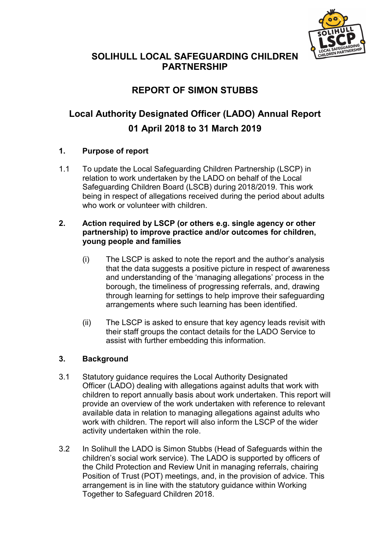

# SOLIHULL LOCAL SAFEGUARDING CHILDREN PARTNERSHIP

# REPORT OF SIMON STUBBS

# Local Authority Designated Officer (LADO) Annual Report 01 April 2018 to 31 March 2019

# 1. Purpose of report

1.1 To update the Local Safeguarding Children Partnership (LSCP) in relation to work undertaken by the LADO on behalf of the Local Safeguarding Children Board (LSCB) during 2018/2019. This work being in respect of allegations received during the period about adults who work or volunteer with children

#### 2. Action required by LSCP (or others e.g. single agency or other partnership) to improve practice and/or outcomes for children, young people and families

- (i) The LSCP is asked to note the report and the author's analysis that the data suggests a positive picture in respect of awareness and understanding of the 'managing allegations' process in the borough, the timeliness of progressing referrals, and, drawing through learning for settings to help improve their safeguarding arrangements where such learning has been identified.
- (ii) The LSCP is asked to ensure that key agency leads revisit with their staff groups the contact details for the LADO Service to assist with further embedding this information.

# 3. Background

- 3.1 Statutory guidance requires the Local Authority Designated Officer (LADO) dealing with allegations against adults that work with children to report annually basis about work undertaken. This report will provide an overview of the work undertaken with reference to relevant available data in relation to managing allegations against adults who work with children. The report will also inform the LSCP of the wider activity undertaken within the role.
- 3.2 In Solihull the LADO is Simon Stubbs (Head of Safeguards within the children's social work service). The LADO is supported by officers of the Child Protection and Review Unit in managing referrals, chairing Position of Trust (POT) meetings, and, in the provision of advice. This arrangement is in line with the statutory guidance within Working Together to Safeguard Children 2018.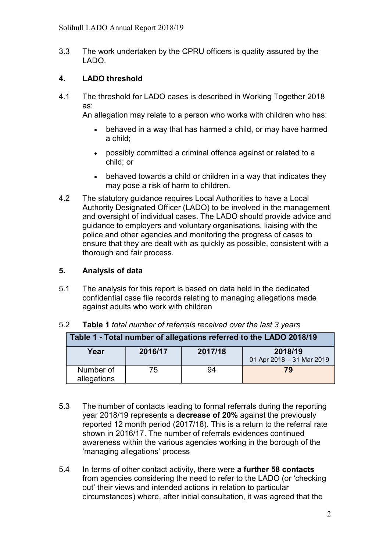3.3 The work undertaken by the CPRU officers is quality assured by the LADO.

# 4. LADO threshold

4.1 The threshold for LADO cases is described in Working Together 2018 as:

An allegation may relate to a person who works with children who has:

- behaved in a way that has harmed a child, or may have harmed a child;
- possibly committed a criminal offence against or related to a child; or
- behaved towards a child or children in a way that indicates they may pose a risk of harm to children.
- 4.2 The statutory guidance requires Local Authorities to have a Local Authority Designated Officer (LADO) to be involved in the management and oversight of individual cases. The LADO should provide advice and guidance to employers and voluntary organisations, liaising with the police and other agencies and monitoring the progress of cases to ensure that they are dealt with as quickly as possible, consistent with a thorough and fair process.

## 5. Analysis of data

5.1 The analysis for this report is based on data held in the dedicated confidential case file records relating to managing allegations made against adults who work with children

| Table 1 - Total number of allegations referred to the LADO 2018/19 |     |         |                                      |  |  |  |
|--------------------------------------------------------------------|-----|---------|--------------------------------------|--|--|--|
| 2016/17<br>Year                                                    |     | 2017/18 | 2018/19<br>01 Apr 2018 - 31 Mar 2019 |  |  |  |
| Number of<br>allegations                                           | 75. | 94      | 79                                   |  |  |  |

#### 5.2 Table 1 total number of referrals received over the last 3 years

- 5.3 The number of contacts leading to formal referrals during the reporting year 2018/19 represents a decrease of 20% against the previously reported 12 month period (2017/18). This is a return to the referral rate shown in 2016/17. The number of referrals evidences continued awareness within the various agencies working in the borough of the 'managing allegations' process
- 5.4 In terms of other contact activity, there were a further 58 contacts from agencies considering the need to refer to the LADO (or 'checking out' their views and intended actions in relation to particular circumstances) where, after initial consultation, it was agreed that the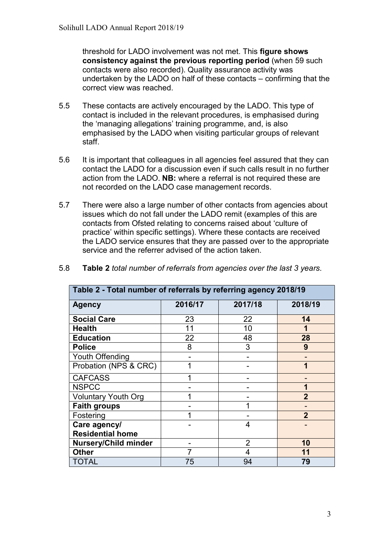threshold for LADO involvement was not met. This figure shows consistency against the previous reporting period (when 59 such contacts were also recorded). Quality assurance activity was undertaken by the LADO on half of these contacts – confirming that the correct view was reached.

- 5.5 These contacts are actively encouraged by the LADO. This type of contact is included in the relevant procedures, is emphasised during the 'managing allegations' training programme, and, is also emphasised by the LADO when visiting particular groups of relevant staff.
- 5.6 It is important that colleagues in all agencies feel assured that they can contact the LADO for a discussion even if such calls result in no further action from the LADO. NB: where a referral is not required these are not recorded on the LADO case management records.
- 5.7 There were also a large number of other contacts from agencies about issues which do not fall under the LADO remit (examples of this are contacts from Ofsted relating to concerns raised about 'culture of practice' within specific settings). Where these contacts are received the LADO service ensures that they are passed over to the appropriate service and the referrer advised of the action taken.

| Table 2 - Total number of referrals by referring agency 2018/19 |         |                |                |  |  |  |
|-----------------------------------------------------------------|---------|----------------|----------------|--|--|--|
| <b>Agency</b>                                                   | 2016/17 | 2017/18        | 2018/19        |  |  |  |
| <b>Social Care</b>                                              | 23      | 22             | 14             |  |  |  |
| <b>Health</b>                                                   | 11      | 10             |                |  |  |  |
| <b>Education</b>                                                | 22      | 48             | 28             |  |  |  |
| <b>Police</b>                                                   | 8       | 3              | 9              |  |  |  |
| Youth Offending                                                 |         |                |                |  |  |  |
| Probation (NPS & CRC)                                           |         |                | 1              |  |  |  |
| <b>CAFCASS</b>                                                  |         |                |                |  |  |  |
| <b>NSPCC</b>                                                    |         |                | 1              |  |  |  |
| <b>Voluntary Youth Org</b>                                      |         |                | $\mathbf 2$    |  |  |  |
| <b>Faith groups</b>                                             |         |                |                |  |  |  |
| Fostering                                                       |         |                | $\overline{2}$ |  |  |  |
| Care agency/                                                    |         | 4              |                |  |  |  |
| <b>Residential home</b>                                         |         |                |                |  |  |  |
| <b>Nursery/Child minder</b>                                     |         | $\overline{2}$ | 10             |  |  |  |
| <b>Other</b>                                                    | 7       | 4              | 11             |  |  |  |
| TOTAL                                                           | 75      | 94             | 79             |  |  |  |

5.8 Table 2 total number of referrals from agencies over the last 3 years.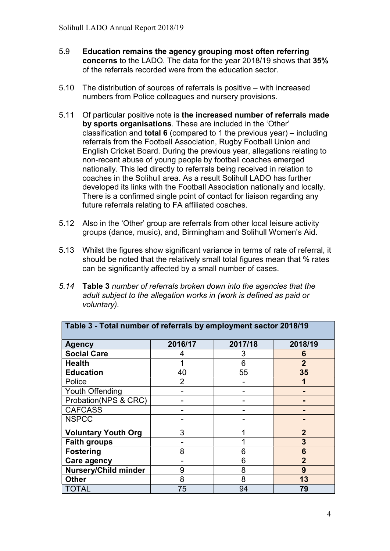- 5.9 Education remains the agency grouping most often referring concerns to the LADO. The data for the year 2018/19 shows that 35% of the referrals recorded were from the education sector.
- 5.10 The distribution of sources of referrals is positive with increased numbers from Police colleagues and nursery provisions.
- 5.11 Of particular positive note is the increased number of referrals made by sports organisations. These are included in the 'Other' classification and total 6 (compared to 1 the previous year) – including referrals from the Football Association, Rugby Football Union and English Cricket Board. During the previous year, allegations relating to non-recent abuse of young people by football coaches emerged nationally. This led directly to referrals being received in relation to coaches in the Solihull area. As a result Solihull LADO has further developed its links with the Football Association nationally and locally. There is a confirmed single point of contact for liaison regarding any future referrals relating to FA affiliated coaches.
- 5.12 Also in the 'Other' group are referrals from other local leisure activity groups (dance, music), and, Birmingham and Solihull Women's Aid.
- 5.13 Whilst the figures show significant variance in terms of rate of referral, it should be noted that the relatively small total figures mean that % rates can be significantly affected by a small number of cases.
- 5.14 Table 3 number of referrals broken down into the agencies that the adult subject to the allegation works in (work is defined as paid or voluntary).

| Table 3 - Total number of referrals by employment sector 2018/19 |         |         |                |  |  |  |
|------------------------------------------------------------------|---------|---------|----------------|--|--|--|
| <b>Agency</b>                                                    | 2016/17 | 2017/18 | 2018/19        |  |  |  |
| <b>Social Care</b>                                               | 4       | 3       | 6              |  |  |  |
| <b>Health</b>                                                    |         | 6       | $\overline{2}$ |  |  |  |
| <b>Education</b>                                                 | 40      | 55      | 35             |  |  |  |
| Police                                                           | 2       |         |                |  |  |  |
| Youth Offending                                                  |         |         |                |  |  |  |
| Probation(NPS & CRC)                                             |         |         |                |  |  |  |
| <b>CAFCASS</b>                                                   |         |         |                |  |  |  |
| <b>NSPCC</b>                                                     |         |         |                |  |  |  |
| <b>Voluntary Youth Org</b>                                       | 3       |         | $\overline{2}$ |  |  |  |
| <b>Faith groups</b>                                              |         |         | 3              |  |  |  |
| <b>Fostering</b>                                                 | 8       | 6       | 6              |  |  |  |
| Care agency                                                      |         | 6       | $\overline{2}$ |  |  |  |
| <b>Nursery/Child minder</b>                                      | 9       | 8       | 9              |  |  |  |
| <b>Other</b>                                                     | 8       | 8       | 13             |  |  |  |
| <b>TOTAL</b>                                                     | 75      | 94      | 79             |  |  |  |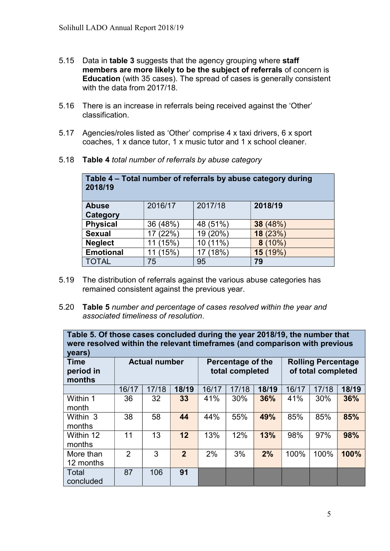- 5.15 Data in table 3 suggests that the agency grouping where staff members are more likely to be the subject of referrals of concern is Education (with 35 cases). The spread of cases is generally consistent with the data from 2017/18.
- 5.16 There is an increase in referrals being received against the 'Other' classification.
- 5.17 Agencies/roles listed as 'Other' comprise 4 x taxi drivers, 6 x sport coaches, 1 x dance tutor, 1 x music tutor and 1 x school cleaner.

| Table 4 - Total number of referrals by abuse category during<br>2018/19 |          |          |           |  |  |  |  |
|-------------------------------------------------------------------------|----------|----------|-----------|--|--|--|--|
| 2017/18<br>2018/19<br>2016/17<br><b>Abuse</b>                           |          |          |           |  |  |  |  |
| Category                                                                |          |          |           |  |  |  |  |
| <b>Physical</b>                                                         | 36 (48%) | 48 (51%) | 38 (48%)  |  |  |  |  |
| <b>Sexual</b>                                                           | 17 (22%) | 19 (20%) | 18 (23%)  |  |  |  |  |
| <b>Neglect</b>                                                          | (15%)    | 10 (11%) | (10%<br>8 |  |  |  |  |
| <b>Emotional</b><br>(15%)<br>17 (18%)<br>15 (19%)                       |          |          |           |  |  |  |  |
| <b>TOTAL</b><br>75<br>95<br>79                                          |          |          |           |  |  |  |  |

5.18 Table 4 total number of referrals by abuse category

- 5.19 The distribution of referrals against the various abuse categories has remained consistent against the previous year.
- 5.20 Table 5 number and percentage of cases resolved within the year and associated timeliness of resolution.

| Table 5. Of those cases concluded during the year 2018/19, the number that<br>were resolved within the relevant timeframes (and comparison with previous<br>years) |       |       |                                                                                         |       |       |       |       |       |       |
|--------------------------------------------------------------------------------------------------------------------------------------------------------------------|-------|-------|-----------------------------------------------------------------------------------------|-------|-------|-------|-------|-------|-------|
| <b>Time</b><br><b>Actual number</b><br>period in<br>months                                                                                                         |       |       | <b>Rolling Percentage</b><br>Percentage of the<br>of total completed<br>total completed |       |       |       |       |       |       |
|                                                                                                                                                                    | 16/17 | 17/18 | 18/19                                                                                   | 16/17 | 17/18 | 18/19 | 16/17 | 17/18 | 18/19 |
| Within 1<br>month                                                                                                                                                  | 36    | 32    | 33                                                                                      | 41%   | 30%   | 36%   | 41%   | 30%   | 36%   |
| Within 3<br>months                                                                                                                                                 | 38    | 58    | 44                                                                                      | 44%   | 55%   | 49%   | 85%   | 85%   | 85%   |
| Within 12<br>months                                                                                                                                                | 11    | 13    | 12                                                                                      | 13%   | 12%   | 13%   | 98%   | 97%   | 98%   |
| More than<br>12 months                                                                                                                                             | 2     | 3     | 2 <sup>2</sup>                                                                          | 2%    | 3%    | 2%    | 100%  | 100%  | 100%  |
| Total<br>concluded                                                                                                                                                 | 87    | 106   | 91                                                                                      |       |       |       |       |       |       |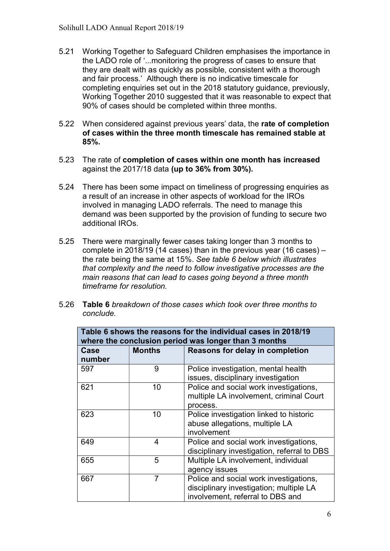- 5.21 Working Together to Safeguard Children emphasises the importance in the LADO role of '...monitoring the progress of cases to ensure that they are dealt with as quickly as possible, consistent with a thorough and fair process.' Although there is no indicative timescale for completing enquiries set out in the 2018 statutory guidance, previously, Working Together 2010 suggested that it was reasonable to expect that 90% of cases should be completed within three months.
- 5.22 When considered against previous years' data, the rate of completion of cases within the three month timescale has remained stable at 85%.
- 5.23 The rate of completion of cases within one month has increased against the 2017/18 data (up to 36% from 30%).
- 5.24 There has been some impact on timeliness of progressing enquiries as a result of an increase in other aspects of workload for the IROs involved in managing LADO referrals. The need to manage this demand was been supported by the provision of funding to secure two additional IROs.
- 5.25 There were marginally fewer cases taking longer than 3 months to complete in 2018/19 (14 cases) than in the previous year (16 cases) – the rate being the same at 15%. See table 6 below which illustrates that complexity and the need to follow investigative processes are the main reasons that can lead to cases going beyond a three month timeframe for resolution.
- 5.26 Table 6 breakdown of those cases which took over three months to conclude.

| Table 6 shows the reasons for the individual cases in 2018/19<br>where the conclusion period was longer than 3 months |                |                                                                                                                       |  |  |  |  |
|-----------------------------------------------------------------------------------------------------------------------|----------------|-----------------------------------------------------------------------------------------------------------------------|--|--|--|--|
| Case<br>number                                                                                                        | <b>Months</b>  | <b>Reasons for delay in completion</b>                                                                                |  |  |  |  |
| 597                                                                                                                   | 9              | Police investigation, mental health<br>issues, disciplinary investigation                                             |  |  |  |  |
| 621                                                                                                                   | 10             | Police and social work investigations,<br>multiple LA involvement, criminal Court<br>process.                         |  |  |  |  |
| 623                                                                                                                   | 10             | Police investigation linked to historic<br>abuse allegations, multiple LA<br>involvement                              |  |  |  |  |
| 649                                                                                                                   | 4              | Police and social work investigations,<br>disciplinary investigation, referral to DBS                                 |  |  |  |  |
| 655                                                                                                                   | 5              | Multiple LA involvement, individual<br>agency issues                                                                  |  |  |  |  |
| 667                                                                                                                   | $\overline{7}$ | Police and social work investigations,<br>disciplinary investigation; multiple LA<br>involvement, referral to DBS and |  |  |  |  |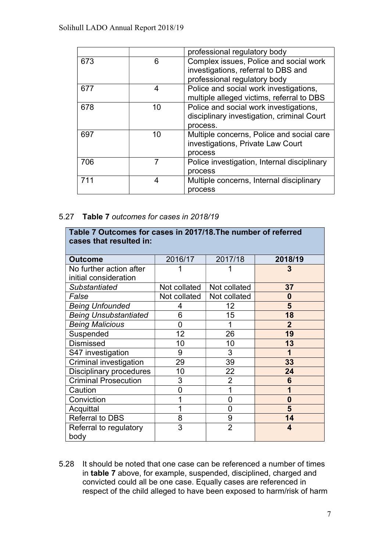|     |    | professional regulatory body                |
|-----|----|---------------------------------------------|
| 673 | 6  | Complex issues, Police and social work      |
|     |    | investigations, referral to DBS and         |
|     |    | professional regulatory body                |
| 677 | 4  | Police and social work investigations,      |
|     |    | multiple alleged victims, referral to DBS   |
| 678 | 10 | Police and social work investigations,      |
|     |    | disciplinary investigation, criminal Court  |
|     |    | process.                                    |
| 697 | 10 | Multiple concerns, Police and social care   |
|     |    | investigations, Private Law Court           |
|     |    | process                                     |
| 706 |    | Police investigation, Internal disciplinary |
|     |    | process                                     |
| 711 | 4  | Multiple concerns, Internal disciplinary    |
|     |    | process                                     |

#### 5.27 Table 7 outcomes for cases in 2018/19

| Table 7 Outcomes for cases in 2017/18. The number of referred<br>cases that resulted in: |              |                |                |  |  |  |  |
|------------------------------------------------------------------------------------------|--------------|----------------|----------------|--|--|--|--|
| <b>Outcome</b>                                                                           | 2016/17      | 2017/18        | 2018/19        |  |  |  |  |
| No further action after                                                                  |              |                | 3              |  |  |  |  |
| initial consideration                                                                    |              |                |                |  |  |  |  |
| Substantiated                                                                            | Not collated | Not collated   | 37             |  |  |  |  |
| False                                                                                    | Not collated | Not collated   | 0              |  |  |  |  |
| <b>Being Unfounded</b>                                                                   | 4            | 12             | 5              |  |  |  |  |
| <b>Being Unsubstantiated</b>                                                             | 6            | 15             | 18             |  |  |  |  |
| <b>Being Malicious</b>                                                                   | 0            |                | $\overline{2}$ |  |  |  |  |
| Suspended                                                                                | 12           | 26             | 19             |  |  |  |  |
| <b>Dismissed</b>                                                                         | 10           | 10             | 13             |  |  |  |  |
| S47 investigation                                                                        | 9            | 3              | 1              |  |  |  |  |
| Criminal investigation                                                                   | 29           | 39             | 33             |  |  |  |  |
| <b>Disciplinary procedures</b>                                                           | 10           | 22             | 24             |  |  |  |  |
| <b>Criminal Prosecution</b>                                                              | 3            | $\overline{2}$ | 6              |  |  |  |  |
| Caution                                                                                  | 0            | 1              | 1              |  |  |  |  |
| Conviction                                                                               |              | 0              | $\bf{0}$       |  |  |  |  |
| Acquittal                                                                                |              | 0              | 5              |  |  |  |  |
| <b>Referral to DBS</b>                                                                   | 8            | 9              | 14             |  |  |  |  |
| Referral to regulatory<br>body                                                           | 3            | $\overline{2}$ | 4              |  |  |  |  |

5.28 It should be noted that one case can be referenced a number of times in table 7 above, for example, suspended, disciplined, charged and convicted could all be one case. Equally cases are referenced in respect of the child alleged to have been exposed to harm/risk of harm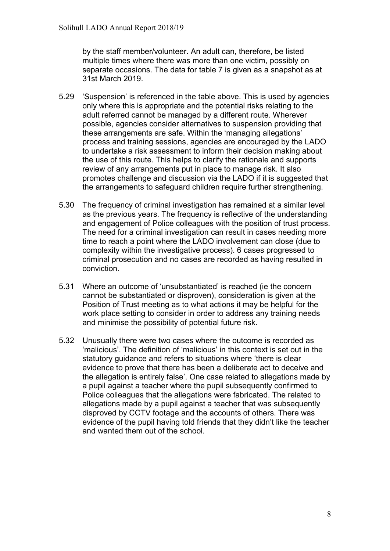by the staff member/volunteer. An adult can, therefore, be listed multiple times where there was more than one victim, possibly on separate occasions. The data for table 7 is given as a snapshot as at 31st March 2019.

- 5.29 'Suspension' is referenced in the table above. This is used by agencies only where this is appropriate and the potential risks relating to the adult referred cannot be managed by a different route. Wherever possible, agencies consider alternatives to suspension providing that these arrangements are safe. Within the 'managing allegations' process and training sessions, agencies are encouraged by the LADO to undertake a risk assessment to inform their decision making about the use of this route. This helps to clarify the rationale and supports review of any arrangements put in place to manage risk. It also promotes challenge and discussion via the LADO if it is suggested that the arrangements to safeguard children require further strengthening.
- 5.30 The frequency of criminal investigation has remained at a similar level as the previous years. The frequency is reflective of the understanding and engagement of Police colleagues with the position of trust process. The need for a criminal investigation can result in cases needing more time to reach a point where the LADO involvement can close (due to complexity within the investigative process). 6 cases progressed to criminal prosecution and no cases are recorded as having resulted in conviction.
- 5.31 Where an outcome of 'unsubstantiated' is reached (ie the concern cannot be substantiated or disproven), consideration is given at the Position of Trust meeting as to what actions it may be helpful for the work place setting to consider in order to address any training needs and minimise the possibility of potential future risk.
- 5.32 Unusually there were two cases where the outcome is recorded as 'malicious'. The definition of 'malicious' in this context is set out in the statutory guidance and refers to situations where 'there is clear evidence to prove that there has been a deliberate act to deceive and the allegation is entirely false'. One case related to allegations made by a pupil against a teacher where the pupil subsequently confirmed to Police colleagues that the allegations were fabricated. The related to allegations made by a pupil against a teacher that was subsequently disproved by CCTV footage and the accounts of others. There was evidence of the pupil having told friends that they didn't like the teacher and wanted them out of the school.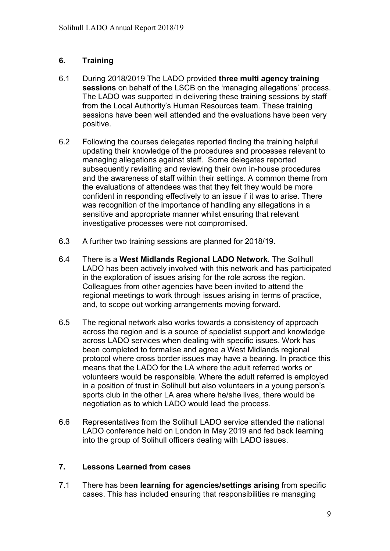## 6. Training

- 6.1 During 2018/2019 The LADO provided three multi agency training sessions on behalf of the LSCB on the 'managing allegations' process. The LADO was supported in delivering these training sessions by staff from the Local Authority's Human Resources team. These training sessions have been well attended and the evaluations have been very positive.
- 6.2 Following the courses delegates reported finding the training helpful updating their knowledge of the procedures and processes relevant to managing allegations against staff. Some delegates reported subsequently revisiting and reviewing their own in-house procedures and the awareness of staff within their settings. A common theme from the evaluations of attendees was that they felt they would be more confident in responding effectively to an issue if it was to arise. There was recognition of the importance of handling any allegations in a sensitive and appropriate manner whilst ensuring that relevant investigative processes were not compromised.
- 6.3 A further two training sessions are planned for 2018/19.
- 6.4 There is a West Midlands Regional LADO Network. The Solihull LADO has been actively involved with this network and has participated in the exploration of issues arising for the role across the region. Colleagues from other agencies have been invited to attend the regional meetings to work through issues arising in terms of practice, and, to scope out working arrangements moving forward.
- 6.5 The regional network also works towards a consistency of approach across the region and is a source of specialist support and knowledge across LADO services when dealing with specific issues. Work has been completed to formalise and agree a West Midlands regional protocol where cross border issues may have a bearing. In practice this means that the LADO for the LA where the adult referred works or volunteers would be responsible. Where the adult referred is employed in a position of trust in Solihull but also volunteers in a young person's sports club in the other LA area where he/she lives, there would be negotiation as to which LADO would lead the process.
- 6.6 Representatives from the Solihull LADO service attended the national LADO conference held on London in May 2019 and fed back learning into the group of Solihull officers dealing with LADO issues.

#### 7. Lessons Learned from cases

7.1 There has been learning for agencies/settings arising from specific cases. This has included ensuring that responsibilities re managing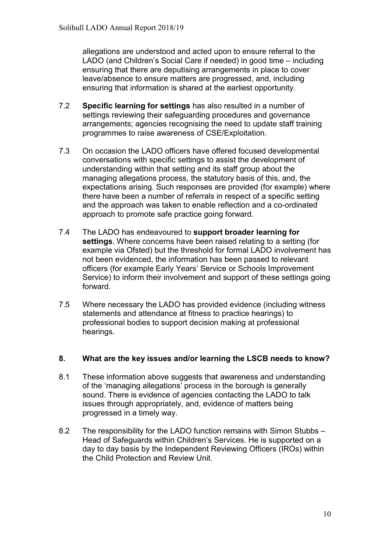allegations are understood and acted upon to ensure referral to the LADO (and Children's Social Care if needed) in good time – including ensuring that there are deputising arrangements in place to cover leave/absence to ensure matters are progressed, and, including ensuring that information is shared at the earliest opportunity.

- 7.2 Specific learning for settings has also resulted in a number of settings reviewing their safeguarding procedures and governance arrangements; agencies recognising the need to update staff training programmes to raise awareness of CSE/Exploitation.
- 7.3 On occasion the LADO officers have offered focused developmental conversations with specific settings to assist the development of understanding within that setting and its staff group about the managing allegations process, the statutory basis of this, and, the expectations arising. Such responses are provided (for example) where there have been a number of referrals in respect of a specific setting and the approach was taken to enable reflection and a co-ordinated approach to promote safe practice going forward.
- 7.4 The LADO has endeavoured to support broader learning for settings. Where concerns have been raised relating to a setting (for example via Ofsted) but the threshold for formal LADO involvement has not been evidenced, the information has been passed to relevant officers (for example Early Years' Service or Schools Improvement Service) to inform their involvement and support of these settings going forward.
- 7.5 Where necessary the LADO has provided evidence (including witness statements and attendance at fitness to practice hearings) to professional bodies to support decision making at professional hearings.

#### 8. What are the key issues and/or learning the LSCB needs to know?

- 8.1 These information above suggests that awareness and understanding of the 'managing allegations' process in the borough is generally sound. There is evidence of agencies contacting the LADO to talk issues through appropriately, and, evidence of matters being progressed in a timely way.
- 8.2 The responsibility for the LADO function remains with Simon Stubbs Head of Safeguards within Children's Services. He is supported on a day to day basis by the Independent Reviewing Officers (IROs) within the Child Protection and Review Unit.